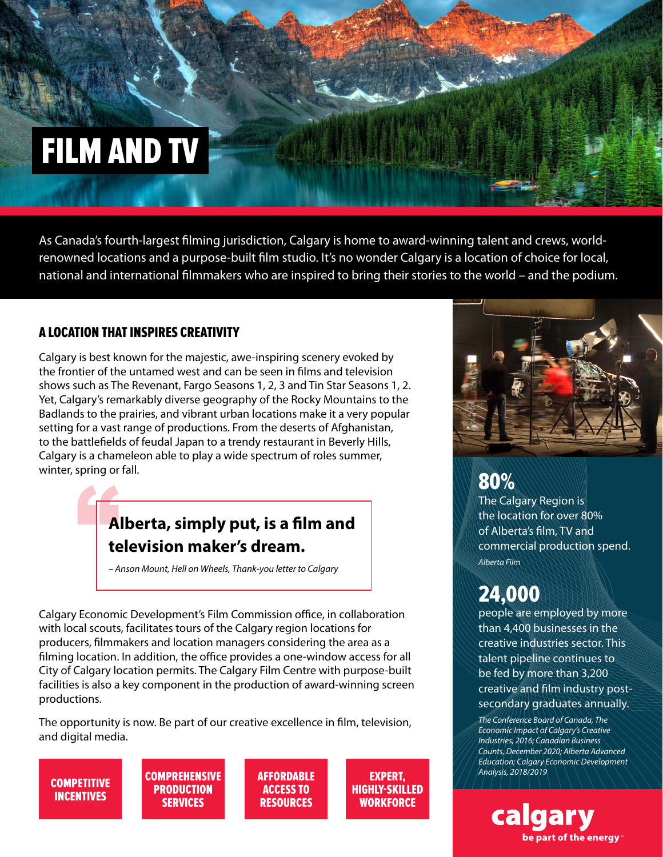# FILM AND TV

As Canada's fourth-largest filming jurisdiction, Calgary is home to award-winning talent and crews, worldrenowned locations and a purpose-built film studio. It's no wonder Calgary is a location of choice for local, national and international filmmakers who are inspired to bring their stories to the world – and the podium.

#### A LOCATION THAT INSPIRES CREATIVITY

Calgary is best known for the majestic, awe-inspiring scenery evoked by the frontier of the untamed west and can be seen in films and television shows such as The Revenant, Fargo Seasons 1, 2, 3 and Tin Star Seasons 1, 2. Yet, Calgary's remarkably diverse geography of the Rocky Mountains to the Badlands to the prairies, and vibrant urban locations make it a very popular setting for a vast range of productions. From the deserts of Afghanistan, to the battlefields of feudal Japan to a trendy restaurant in Beverly Hills, Calgary is a chameleon able to play a wide spectrum of roles summer, winter, spring or fall.

## **Alberta, simply put, is a film and television maker's dream.**

*– Anson Mount, Hell on Wheels, Thank-you letter to Calgary*

Calgary Economic Development's Film Commission office, in collaboration with local scouts, facilitates tours of the Calgary region locations for producers, filmmakers and location managers considering the area as a filming location. In addition, the office provides a one-window access for all City of Calgary location permits. The Calgary Film Centre with purpose-built facilities is also a key component in the production of award-winning screen productions.

The opportunity is now. Be part of our creative excellence in film, television, and digital media.

**COMPETITIVE INCENTIVES** 

**COMPREHENSIVE PRODUCTION SERVICES** 

**AFFORDABLE** ACCESS TO RESOURCES

EXPERT, HIGHLY-SKILLED **WORKFORCE** 



# 80%

The Calgary Region is the location for over 80% of Alberta's film, TV and commercial production spend. *Alberta Film*

# 24,000

people are employed by more than 4,400 businesses in the creative industries sector. This talent pipeline continues to be fed by more than 3,200 creative and film industry postsecondary graduates annually.

*The Conference Board of Canada, The Economic Impact of Calgary's Creative Industries, 2016; Canadian Business Counts, December 2020; Alberta Advanced Education; Calgary Economic Development Analysis, 2018/2019*

be part of the energy